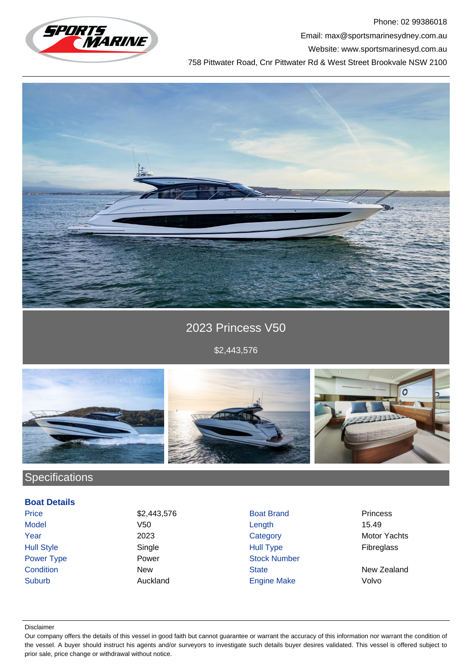

Phone: 02 99386018 Email: max@sportsmarinesydney.com.au

Website: www.sportsmarinesyd.com.au

758 Pittwater Road, Cnr Pittwater Rd & West Street Brookvale NSW 2100



## 2023 Princess V50

\$2,443,576



# **Specifications**

### **Boat Details**

Price \$2,443,576 Boat Brand Princess Model V50 Length 15.49 Year 2023 Category Motor Yachts Hull Style Single Hull Type Fibreglass Power Type **Power Power Stock Number Condition** New New State State New Zealand Suburb Auckland Engine Make Volvo

#### Disclaimer

Our company offers the details of this vessel in good faith but cannot guarantee or warrant the accuracy of this information nor warrant the condition of the vessel. A buyer should instruct his agents and/or surveyors to investigate such details buyer desires validated. This vessel is offered subject to prior sale, price change or withdrawal without notice.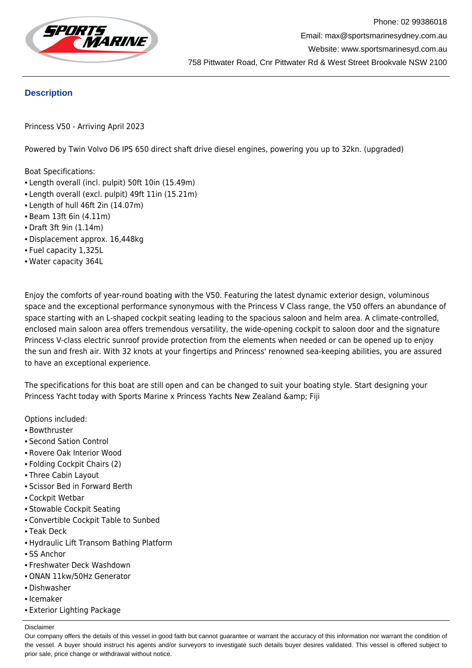

### **Description**

Princess V50 - Arriving April 2023

Powered by Twin Volvo D6 IPS 650 direct shaft drive diesel engines, powering you up to 32kn. (upgraded)

Boat Specifications:

- Length overall (incl. pulpit) 50ft 10in (15.49m)
- Length overall (excl. pulpit) 49ft 11in (15.21m)
- Length of hull 46ft 2in (14.07m)
- Beam 13ft 6in (4.11m)
- Draft 3ft 9in (1.14m)
- Displacement approx. 16,448kg
- Fuel capacity 1,325L
- Water capacity 364L

Enjoy the comforts of year-round boating with the V50. Featuring the latest dynamic exterior design, voluminous space and the exceptional performance synonymous with the Princess V Class range, the V50 offers an abundance of space starting with an L-shaped cockpit seating leading to the spacious saloon and helm area. A climate-controlled, enclosed main saloon area offers tremendous versatility, the wide-opening cockpit to saloon door and the signature Princess V-class electric sunroof provide protection from the elements when needed or can be opened up to enjoy the sun and fresh air. With 32 knots at your fingertips and Princess' renowned sea-keeping abilities, you are assured to have an exceptional experience.

The specifications for this boat are still open and can be changed to suit your boating style. Start designing your Princess Yacht today with Sports Marine x Princess Yachts New Zealand & amp; Fiji

Options included:

- Bowthruster
- Second Sation Control
- Rovere Oak Interior Wood
- Folding Cockpit Chairs (2)
- Three Cabin Layout
- Scissor Bed in Forward Berth
- Cockpit Wetbar
- Stowable Cockpit Seating
- Convertible Cockpit Table to Sunbed
- Teak Deck
- Hydraulic Lift Transom Bathing Platform
- SS Anchor
- Freshwater Deck Washdown
- ONAN 11kw/50Hz Generator
- Dishwasher
- Icemaker
- Exterior Lighting Package

Disclaimer

Our company offers the details of this vessel in good faith but cannot guarantee or warrant the accuracy of this information nor warrant the condition of the vessel. A buyer should instruct his agents and/or surveyors to investigate such details buyer desires validated. This vessel is offered subject to prior sale, price change or withdrawal without notice.